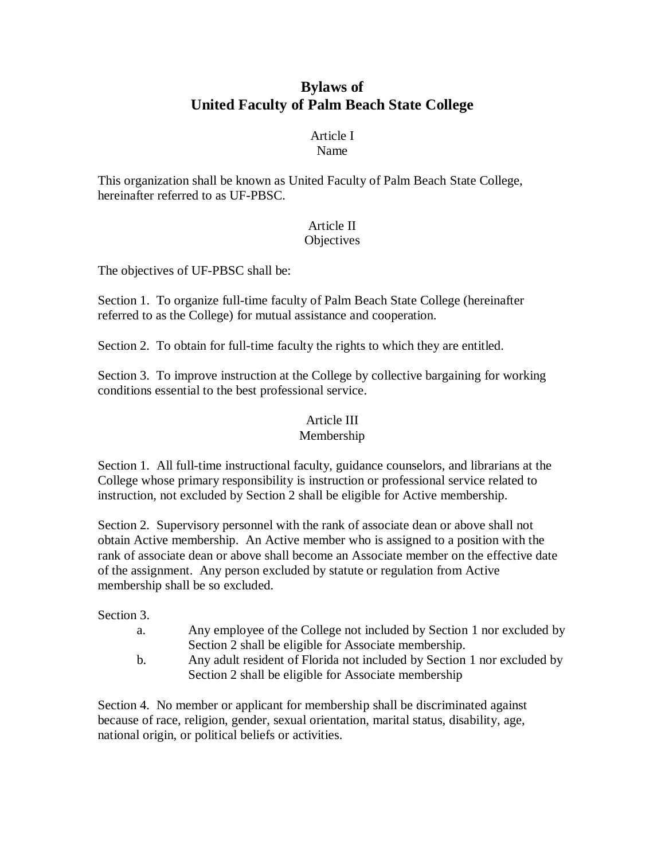## **Bylaws of United Faculty of Palm Beach State College**

#### Article I Name

This organization shall be known as United Faculty of Palm Beach State College, hereinafter referred to as UF-PBSC.

## Article II

### **Objectives**

The objectives of UF-PBSC shall be:

Section 1. To organize full-time faculty of Palm Beach State College (hereinafter referred to as the College) for mutual assistance and cooperation.

Section 2. To obtain for full-time faculty the rights to which they are entitled.

Section 3. To improve instruction at the College by collective bargaining for working conditions essential to the best professional service.

### Article III

### Membership

Section 1. All full-time instructional faculty, guidance counselors, and librarians at the College whose primary responsibility is instruction or professional service related to instruction, not excluded by Section 2 shall be eligible for Active membership.

Section 2. Supervisory personnel with the rank of associate dean or above shall not obtain Active membership. An Active member who is assigned to a position with the rank of associate dean or above shall become an Associate member on the effective date of the assignment. Any person excluded by statute or regulation from Active membership shall be so excluded.

Section 3.

- a. Any employee of the College not included by Section 1 nor excluded by Section 2 shall be eligible for Associate membership.
- b. Any adult resident of Florida not included by Section 1 nor excluded by Section 2 shall be eligible for Associate membership

Section 4. No member or applicant for membership shall be discriminated against because of race, religion, gender, sexual orientation, marital status, disability, age, national origin, or political beliefs or activities.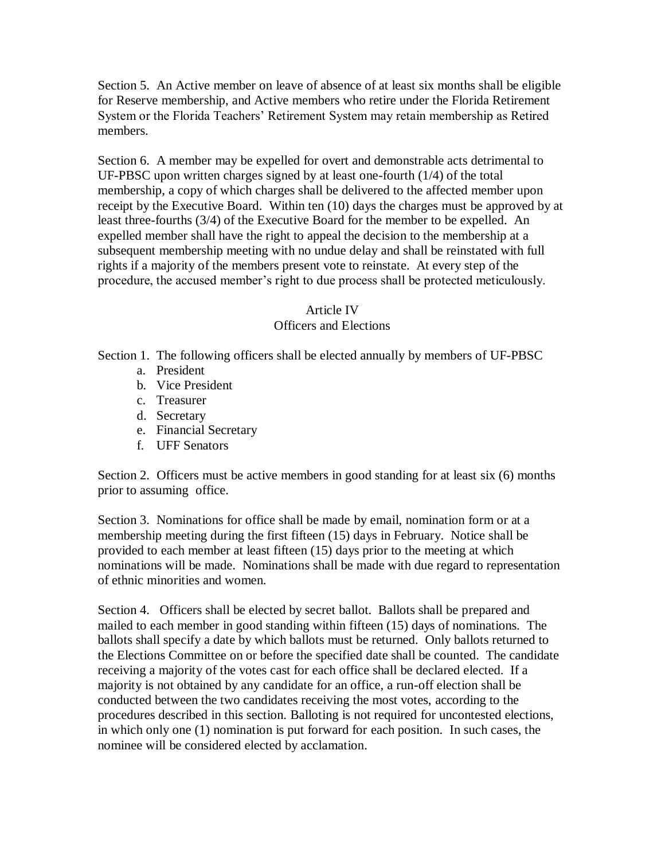Section 5. An Active member on leave of absence of at least six months shall be eligible for Reserve membership, and Active members who retire under the Florida Retirement System or the Florida Teachers' Retirement System may retain membership as Retired members.

Section 6. A member may be expelled for overt and demonstrable acts detrimental to UF-PBSC upon written charges signed by at least one-fourth (1/4) of the total membership, a copy of which charges shall be delivered to the affected member upon receipt by the Executive Board. Within ten (10) days the charges must be approved by at least three-fourths (3/4) of the Executive Board for the member to be expelled. An expelled member shall have the right to appeal the decision to the membership at a subsequent membership meeting with no undue delay and shall be reinstated with full rights if a majority of the members present vote to reinstate. At every step of the procedure, the accused member's right to due process shall be protected meticulously.

### Article IV

### Officers and Elections

Section 1. The following officers shall be elected annually by members of UF-PBSC

- a. President
- b. Vice President
- c. Treasurer
- d. Secretary
- e. Financial Secretary
- f. UFF Senators

Section 2. Officers must be active members in good standing for at least six (6) months prior to assuming office.

Section 3. Nominations for office shall be made by email, nomination form or at a membership meeting during the first fifteen (15) days in February. Notice shall be provided to each member at least fifteen (15) days prior to the meeting at which nominations will be made. Nominations shall be made with due regard to representation of ethnic minorities and women.

Section 4. Officers shall be elected by secret ballot. Ballots shall be prepared and mailed to each member in good standing within fifteen (15) days of nominations. The ballots shall specify a date by which ballots must be returned. Only ballots returned to the Elections Committee on or before the specified date shall be counted. The candidate receiving a majority of the votes cast for each office shall be declared elected. If a majority is not obtained by any candidate for an office, a run-off election shall be conducted between the two candidates receiving the most votes, according to the procedures described in this section. Balloting is not required for uncontested elections, in which only one (1) nomination is put forward for each position. In such cases, the nominee will be considered elected by acclamation.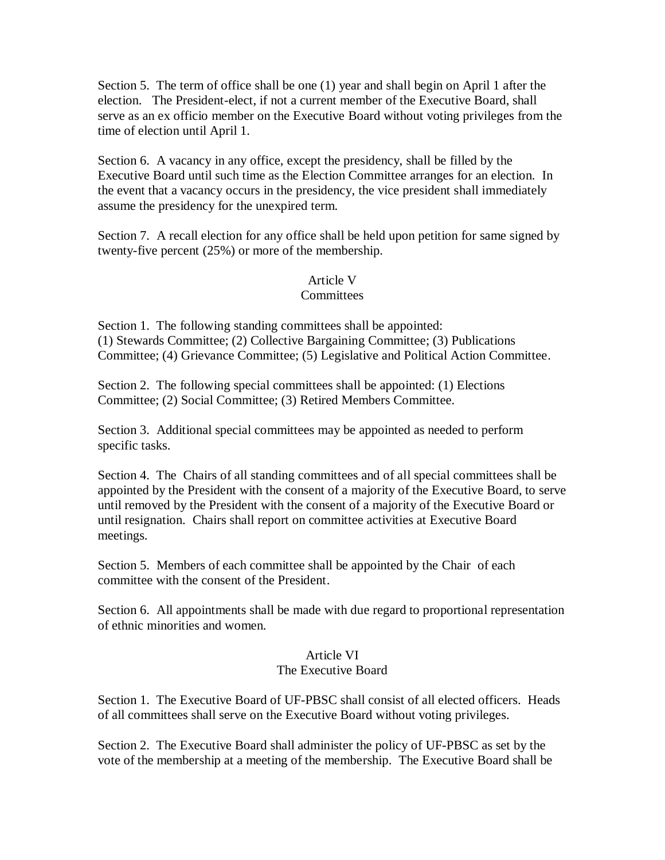Section 5. The term of office shall be one (1) year and shall begin on April 1 after the election. The President-elect, if not a current member of the Executive Board, shall serve as an ex officio member on the Executive Board without voting privileges from the time of election until April 1.

Section 6. A vacancy in any office, except the presidency, shall be filled by the Executive Board until such time as the Election Committee arranges for an election. In the event that a vacancy occurs in the presidency, the vice president shall immediately assume the presidency for the unexpired term.

Section 7. A recall election for any office shall be held upon petition for same signed by twenty-five percent (25%) or more of the membership.

# Article V

### **Committees**

Section 1. The following standing committees shall be appointed: (1) Stewards Committee; (2) Collective Bargaining Committee; (3) Publications Committee; (4) Grievance Committee; (5) Legislative and Political Action Committee.

Section 2. The following special committees shall be appointed: (1) Elections Committee; (2) Social Committee; (3) Retired Members Committee.

Section 3. Additional special committees may be appointed as needed to perform specific tasks.

Section 4. The Chairs of all standing committees and of all special committees shall be appointed by the President with the consent of a majority of the Executive Board, to serve until removed by the President with the consent of a majority of the Executive Board or until resignation. Chairs shall report on committee activities at Executive Board meetings.

Section 5. Members of each committee shall be appointed by the Chair of each committee with the consent of the President.

Section 6. All appointments shall be made with due regard to proportional representation of ethnic minorities and women.

#### Article VI The Executive Board

Section 1. The Executive Board of UF-PBSC shall consist of all elected officers. Heads of all committees shall serve on the Executive Board without voting privileges.

Section 2. The Executive Board shall administer the policy of UF-PBSC as set by the vote of the membership at a meeting of the membership. The Executive Board shall be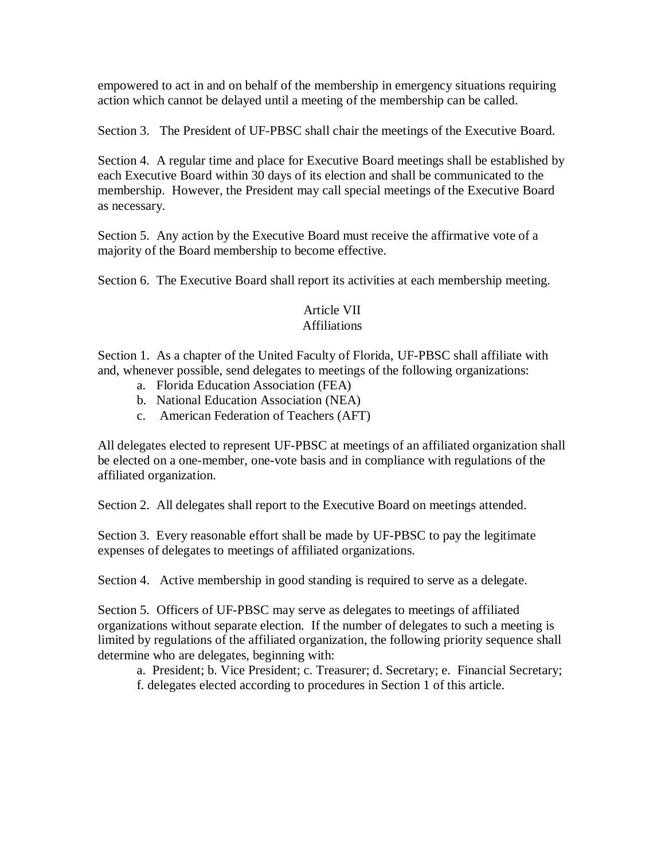empowered to act in and on behalf of the membership in emergency situations requiring action which cannot be delayed until a meeting of the membership can be called.

Section 3. The President of UF-PBSC shall chair the meetings of the Executive Board.

Section 4. A regular time and place for Executive Board meetings shall be established by each Executive Board within 30 days of its election and shall be communicated to the membership. However, the President may call special meetings of the Executive Board as necessary.

Section 5. Any action by the Executive Board must receive the affirmative vote of a majority of the Board membership to become effective.

Section 6. The Executive Board shall report its activities at each membership meeting.

# Article VII

### Affiliations

Section 1. As a chapter of the United Faculty of Florida, UF-PBSC shall affiliate with and, whenever possible, send delegates to meetings of the following organizations:

- a. Florida Education Association (FEA)
- b. National Education Association (NEA)
- c. American Federation of Teachers (AFT)

All delegates elected to represent UF-PBSC at meetings of an affiliated organization shall be elected on a one-member, one-vote basis and in compliance with regulations of the affiliated organization.

Section 2. All delegates shall report to the Executive Board on meetings attended.

Section 3. Every reasonable effort shall be made by UF-PBSC to pay the legitimate expenses of delegates to meetings of affiliated organizations.

Section 4. Active membership in good standing is required to serve as a delegate.

Section 5. Officers of UF-PBSC may serve as delegates to meetings of affiliated organizations without separate election. If the number of delegates to such a meeting is limited by regulations of the affiliated organization, the following priority sequence shall determine who are delegates, beginning with:

a. President; b. Vice President; c. Treasurer; d. Secretary; e. Financial Secretary; f. delegates elected according to procedures in Section 1 of this article.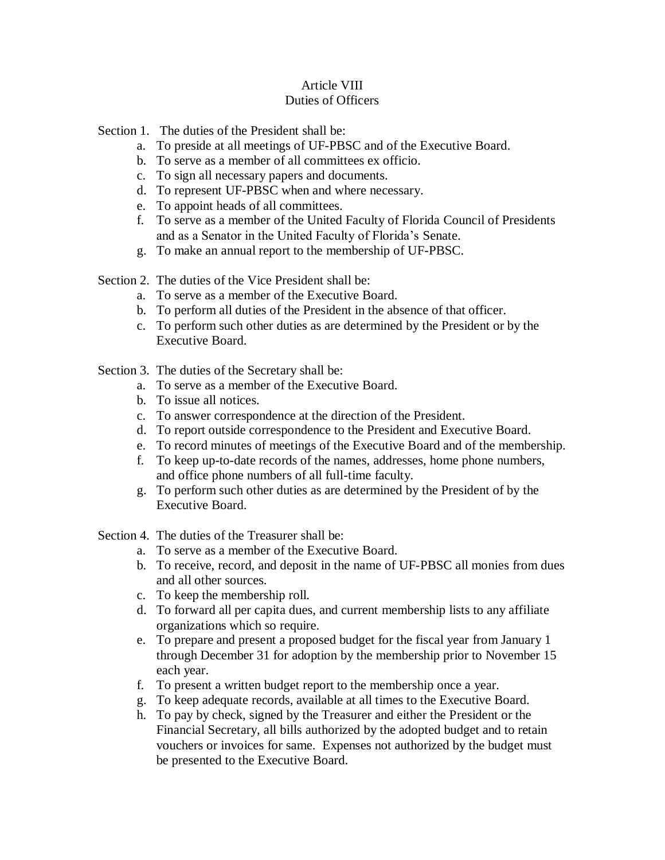### Article VIII Duties of Officers

Section 1. The duties of the President shall be:

- a. To preside at all meetings of UF-PBSC and of the Executive Board.
- b. To serve as a member of all committees ex officio.
- c. To sign all necessary papers and documents.
- d. To represent UF-PBSC when and where necessary.
- e. To appoint heads of all committees.
- f. To serve as a member of the United Faculty of Florida Council of Presidents and as a Senator in the United Faculty of Florida's Senate.
- g. To make an annual report to the membership of UF-PBSC.

Section 2. The duties of the Vice President shall be:

- a. To serve as a member of the Executive Board.
- b. To perform all duties of the President in the absence of that officer.
- c. To perform such other duties as are determined by the President or by the Executive Board.

Section 3. The duties of the Secretary shall be:

- a. To serve as a member of the Executive Board.
- b. To issue all notices.
- c. To answer correspondence at the direction of the President.
- d. To report outside correspondence to the President and Executive Board.
- e. To record minutes of meetings of the Executive Board and of the membership.
- f. To keep up-to-date records of the names, addresses, home phone numbers, and office phone numbers of all full-time faculty.
- g. To perform such other duties as are determined by the President of by the Executive Board.

Section 4. The duties of the Treasurer shall be:

- a. To serve as a member of the Executive Board.
- b. To receive, record, and deposit in the name of UF-PBSC all monies from dues and all other sources.
- c. To keep the membership roll.
- d. To forward all per capita dues, and current membership lists to any affiliate organizations which so require.
- e. To prepare and present a proposed budget for the fiscal year from January 1 through December 31 for adoption by the membership prior to November 15 each year.
- f. To present a written budget report to the membership once a year.
- g. To keep adequate records, available at all times to the Executive Board.
- h. To pay by check, signed by the Treasurer and either the President or the Financial Secretary, all bills authorized by the adopted budget and to retain vouchers or invoices for same. Expenses not authorized by the budget must be presented to the Executive Board.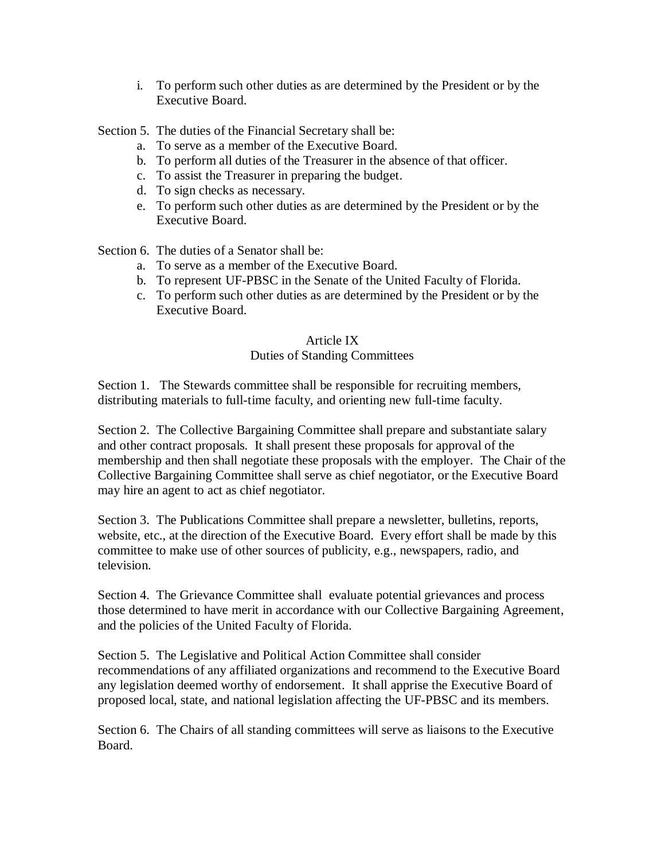i. To perform such other duties as are determined by the President or by the Executive Board.

Section 5. The duties of the Financial Secretary shall be:

- a. To serve as a member of the Executive Board.
- b. To perform all duties of the Treasurer in the absence of that officer.
- c. To assist the Treasurer in preparing the budget.
- d. To sign checks as necessary.
- e. To perform such other duties as are determined by the President or by the Executive Board.

Section 6. The duties of a Senator shall be:

- a. To serve as a member of the Executive Board.
- b. To represent UF-PBSC in the Senate of the United Faculty of Florida.
- c. To perform such other duties as are determined by the President or by the Executive Board.

### Article IX

### Duties of Standing Committees

Section 1. The Stewards committee shall be responsible for recruiting members, distributing materials to full-time faculty, and orienting new full-time faculty.

Section 2. The Collective Bargaining Committee shall prepare and substantiate salary and other contract proposals. It shall present these proposals for approval of the membership and then shall negotiate these proposals with the employer. The Chair of the Collective Bargaining Committee shall serve as chief negotiator, or the Executive Board may hire an agent to act as chief negotiator.

Section 3. The Publications Committee shall prepare a newsletter, bulletins, reports, website, etc., at the direction of the Executive Board. Every effort shall be made by this committee to make use of other sources of publicity, e.g., newspapers, radio, and television.

Section 4. The Grievance Committee shall evaluate potential grievances and process those determined to have merit in accordance with our Collective Bargaining Agreement, and the policies of the United Faculty of Florida.

Section 5. The Legislative and Political Action Committee shall consider recommendations of any affiliated organizations and recommend to the Executive Board any legislation deemed worthy of endorsement. It shall apprise the Executive Board of proposed local, state, and national legislation affecting the UF-PBSC and its members.

Section 6. The Chairs of all standing committees will serve as liaisons to the Executive Board.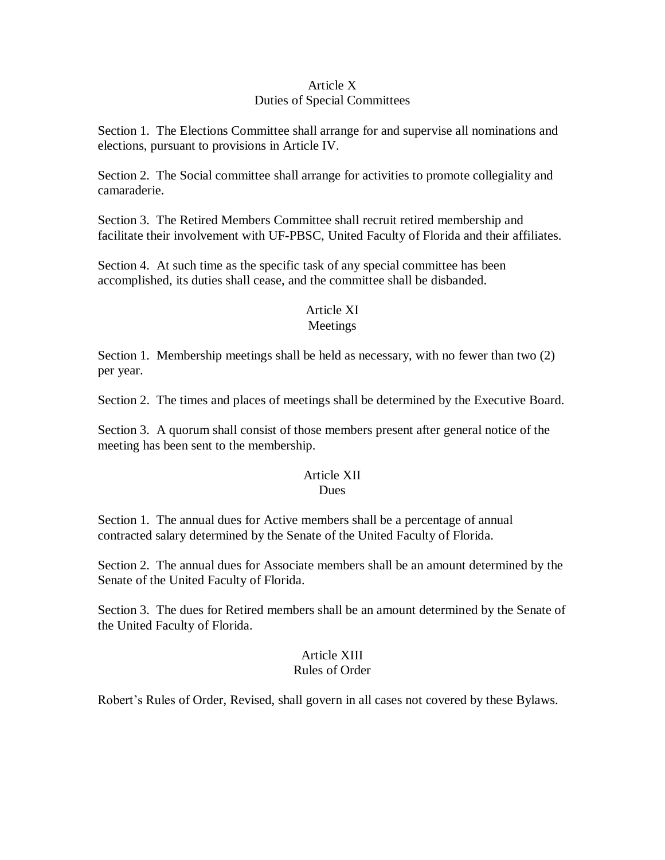### Article X Duties of Special Committees

Section 1. The Elections Committee shall arrange for and supervise all nominations and elections, pursuant to provisions in Article IV.

Section 2. The Social committee shall arrange for activities to promote collegiality and camaraderie.

Section 3. The Retired Members Committee shall recruit retired membership and facilitate their involvement with UF-PBSC, United Faculty of Florida and their affiliates.

Section 4. At such time as the specific task of any special committee has been accomplished, its duties shall cease, and the committee shall be disbanded.

### Article XI

### Meetings

Section 1. Membership meetings shall be held as necessary, with no fewer than two (2) per year.

Section 2. The times and places of meetings shall be determined by the Executive Board.

Section 3. A quorum shall consist of those members present after general notice of the meeting has been sent to the membership.

#### Article XII Dues

Section 1. The annual dues for Active members shall be a percentage of annual contracted salary determined by the Senate of the United Faculty of Florida.

Section 2. The annual dues for Associate members shall be an amount determined by the Senate of the United Faculty of Florida.

Section 3. The dues for Retired members shall be an amount determined by the Senate of the United Faculty of Florida.

#### Article XIII Rules of Order

Robert's Rules of Order, Revised, shall govern in all cases not covered by these Bylaws.